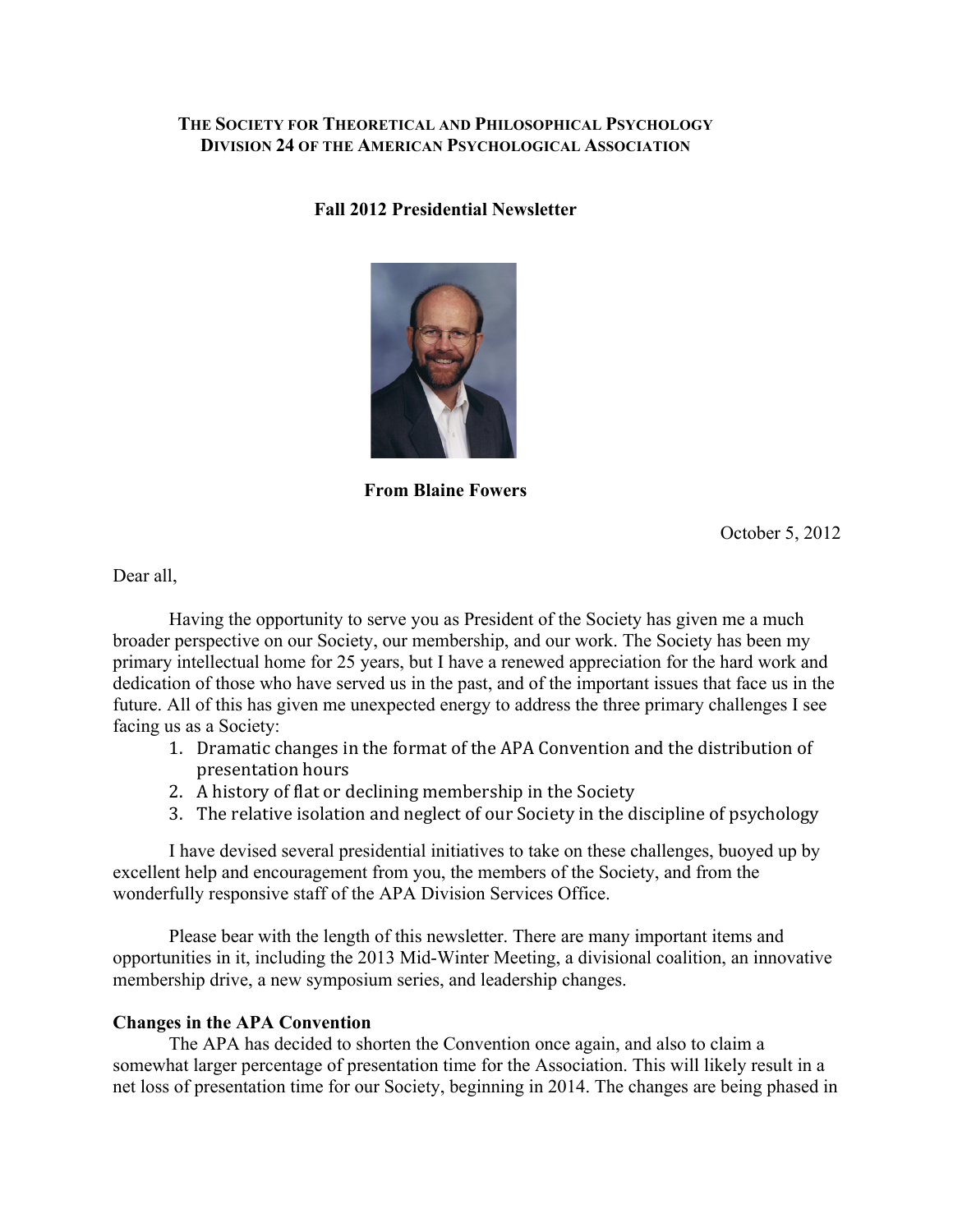## **THE SOCIETY FOR THEORETICAL AND PHILOSOPHICAL PSYCHOLOGY DIVISION 24 OF THE AMERICAN PSYCHOLOGICAL ASSOCIATION**

#### **Fall 2012 Presidential Newsletter**



**From Blaine Fowers**

October 5, 2012

Dear all,

Having the opportunity to serve you as President of the Society has given me a much broader perspective on our Society, our membership, and our work. The Society has been my primary intellectual home for 25 years, but I have a renewed appreciation for the hard work and dedication of those who have served us in the past, and of the important issues that face us in the future. All of this has given me unexpected energy to address the three primary challenges I see facing us as a Society:

- 1. Dramatic changes in the format of the APA Convention and the distribution of presentation hours
- 2. A history of flat or declining membership in the Society
- 3. The relative isolation and neglect of our Society in the discipline of psychology

I have devised several presidential initiatives to take on these challenges, buoyed up by excellent help and encouragement from you, the members of the Society, and from the wonderfully responsive staff of the APA Division Services Office.

Please bear with the length of this newsletter. There are many important items and opportunities in it, including the 2013 Mid-Winter Meeting, a divisional coalition, an innovative membership drive, a new symposium series, and leadership changes.

#### **Changes in the APA Convention**

The APA has decided to shorten the Convention once again, and also to claim a somewhat larger percentage of presentation time for the Association. This will likely result in a net loss of presentation time for our Society, beginning in 2014. The changes are being phased in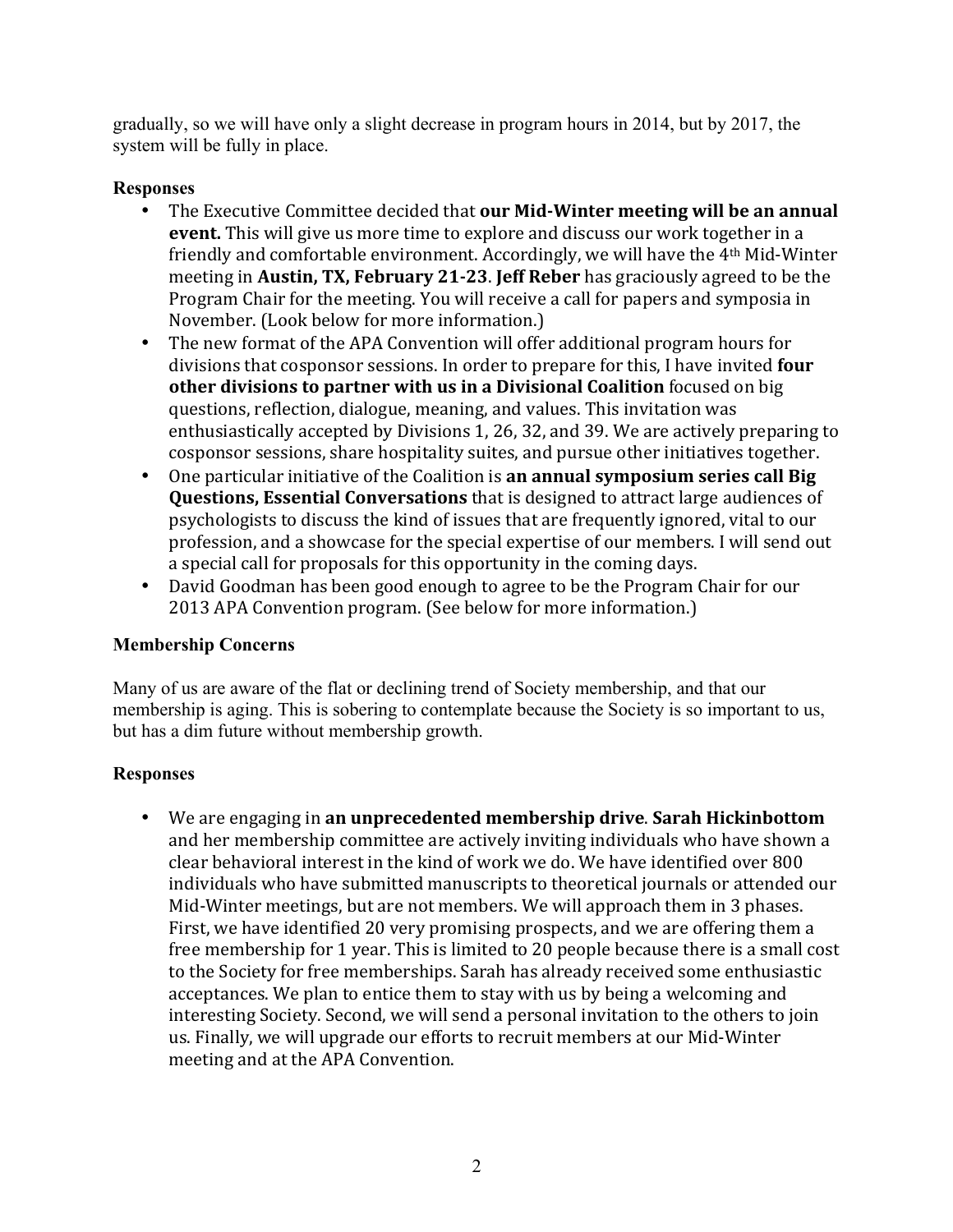gradually, so we will have only a slight decrease in program hours in 2014, but by 2017, the system will be fully in place.

# **Responses**

- The Executive Committee decided that **our Mid-Winter meeting will be an annual event.** This will give us more time to explore and discuss our work together in a friendly and comfortable environment. Accordingly, we will have the 4<sup>th</sup> Mid-Winter meeting in **Austin, TX, February 21-23. Jeff Reber** has graciously agreed to be the Program Chair for the meeting. You will receive a call for papers and symposia in November. (Look below for more information.)
- The new format of the APA Convention will offer additional program hours for divisions that cosponsor sessions. In order to prepare for this, I have invited **four other divisions to partner with us in a Divisional Coalition** focused on big questions, reflection, dialogue, meaning, and values. This invitation was enthusiastically accepted by Divisions 1, 26, 32, and 39. We are actively preparing to cosponsor sessions, share hospitality suites, and pursue other initiatives together.
- One particular initiative of the Coalition is **an annual symposium series call Big Questions, Essential Conversations** that is designed to attract large audiences of psychologists to discuss the kind of issues that are frequently ignored, vital to our profession, and a showcase for the special expertise of our members. I will send out a special call for proposals for this opportunity in the coming days.
- David Goodman has been good enough to agree to be the Program Chair for our 2013 APA Convention program. (See below for more information.)

## **Membership Concerns**

Many of us are aware of the flat or declining trend of Society membership, and that our membership is aging. This is sobering to contemplate because the Society is so important to us, but has a dim future without membership growth.

## **Responses**

• We are engaging in an unprecedented membership drive. Sarah Hickinbottom and her membership committee are actively inviting individuals who have shown a clear behavioral interest in the kind of work we do. We have identified over 800 individuals who have submitted manuscripts to theoretical journals or attended our Mid-Winter meetings, but are not members. We will approach them in 3 phases. First, we have identified 20 very promising prospects, and we are offering them a free membership for 1 year. This is limited to 20 people because there is a small cost to the Society for free memberships. Sarah has already received some enthusiastic acceptances. We plan to entice them to stay with us by being a welcoming and interesting Society. Second, we will send a personal invitation to the others to join us. Finally, we will upgrade our efforts to recruit members at our Mid-Winter meeting and at the APA Convention.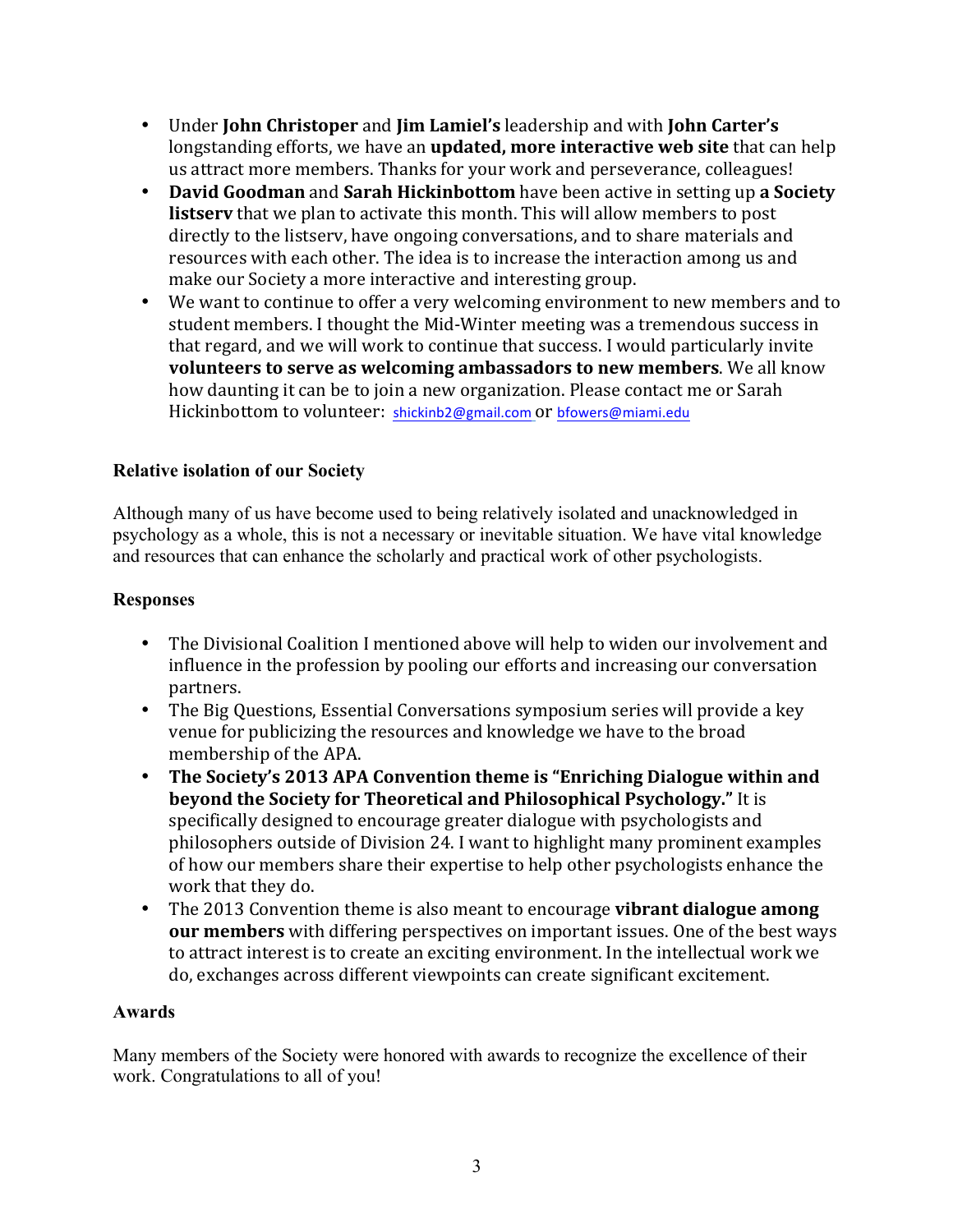- Under **John Christoper** and **Jim Lamiel's** leadership and with **John Carter's** longstanding efforts, we have an **updated, more interactive web site** that can help us attract more members. Thanks for your work and perseverance, colleagues!
- David Goodman and Sarah Hickinbottom have been active in setting up a Society **listserv** that we plan to activate this month. This will allow members to post directly to the listsery, have ongoing conversations, and to share materials and resources with each other. The idea is to increase the interaction among us and make our Society a more interactive and interesting group.
- We want to continue to offer a very welcoming environment to new members and to student members. I thought the Mid-Winter meeting was a tremendous success in that regard, and we will work to continue that success. I would particularly invite **volunteers to serve as welcoming ambassadors to new members**. We all know how daunting it can be to join a new organization. Please contact me or Sarah Hickinbottom to volunteer: shickinb2@gmail.com Or bfowers@miami.edu

# **Relative isolation of our Society**

Although many of us have become used to being relatively isolated and unacknowledged in psychology as a whole, this is not a necessary or inevitable situation. We have vital knowledge and resources that can enhance the scholarly and practical work of other psychologists.

## **Responses**

- The Divisional Coalition I mentioned above will help to widen our involvement and influence in the profession by pooling our efforts and increasing our conversation partners.
- The Big Questions, Essential Conversations symposium series will provide a key venue for publicizing the resources and knowledge we have to the broad membership of the APA.
- The Society's 2013 APA Convention theme is "Enriching Dialogue within and **beyond the Society for Theoretical and Philosophical Psychology." It is** specifically designed to encourage greater dialogue with psychologists and philosophers outside of Division 24. I want to highlight many prominent examples of how our members share their expertise to help other psychologists enhance the work that they do.
- The 2013 Convention theme is also meant to encourage **vibrant dialogue among our members** with differing perspectives on important issues. One of the best ways to attract interest is to create an exciting environment. In the intellectual work we do, exchanges across different viewpoints can create significant excitement.

## **Awards**

Many members of the Society were honored with awards to recognize the excellence of their work. Congratulations to all of you!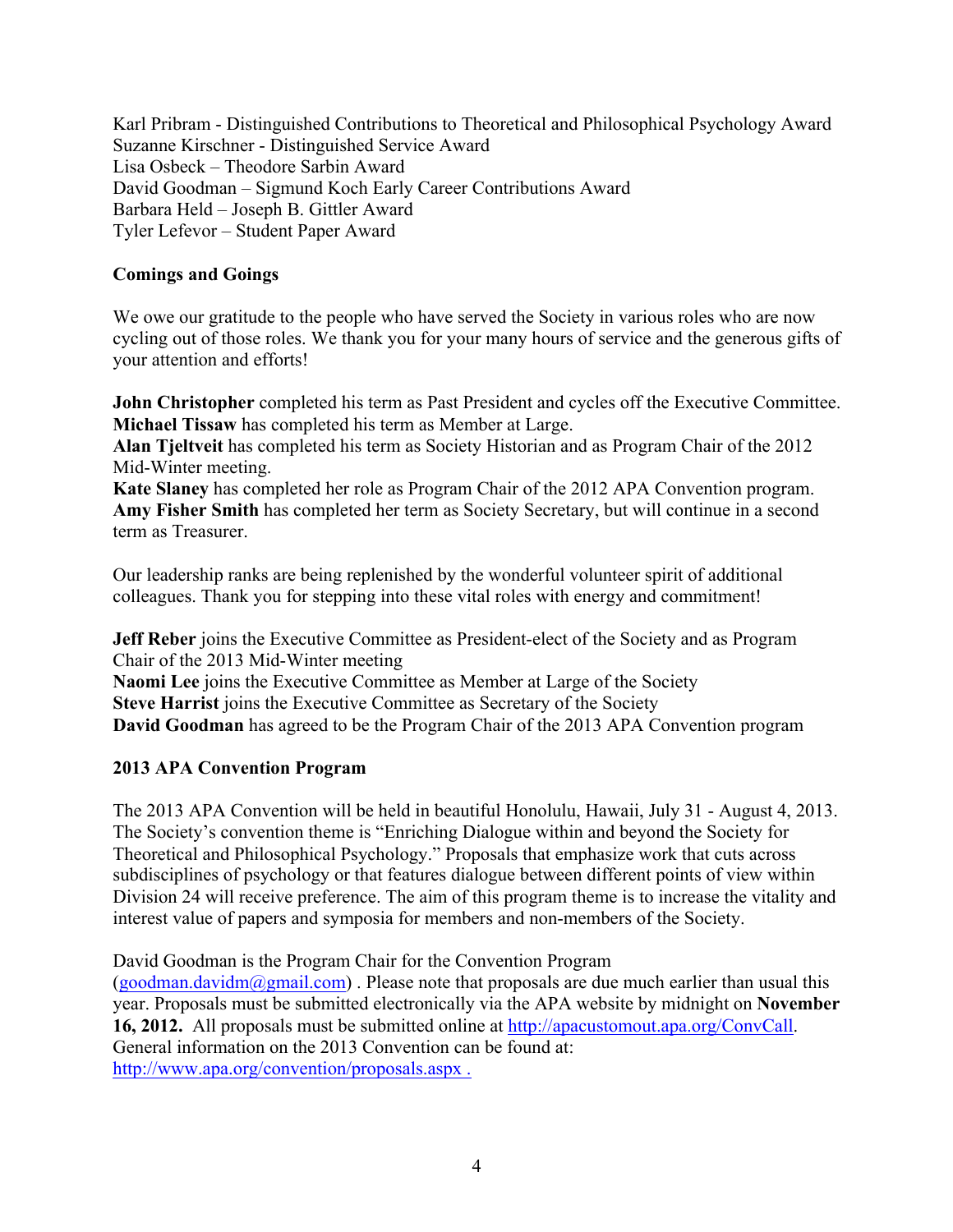Karl Pribram - Distinguished Contributions to Theoretical and Philosophical Psychology Award Suzanne Kirschner - Distinguished Service Award Lisa Osbeck – Theodore Sarbin Award David Goodman – Sigmund Koch Early Career Contributions Award Barbara Held – Joseph B. Gittler Award Tyler Lefevor – Student Paper Award

#### **Comings and Goings**

We owe our gratitude to the people who have served the Society in various roles who are now cycling out of those roles. We thank you for your many hours of service and the generous gifts of your attention and efforts!

**John Christopher** completed his term as Past President and cycles off the Executive Committee. **Michael Tissaw** has completed his term as Member at Large.

**Alan Tjeltveit** has completed his term as Society Historian and as Program Chair of the 2012 Mid-Winter meeting.

**Kate Slaney** has completed her role as Program Chair of the 2012 APA Convention program. **Amy Fisher Smith** has completed her term as Society Secretary, but will continue in a second term as Treasurer.

Our leadership ranks are being replenished by the wonderful volunteer spirit of additional colleagues. Thank you for stepping into these vital roles with energy and commitment!

**Jeff Reber** joins the Executive Committee as President-elect of the Society and as Program Chair of the 2013 Mid-Winter meeting

**Naomi Lee** joins the Executive Committee as Member at Large of the Society **Steve Harrist** joins the Executive Committee as Secretary of the Society **David Goodman** has agreed to be the Program Chair of the 2013 APA Convention program

## **2013 APA Convention Program**

The 2013 APA Convention will be held in beautiful Honolulu, Hawaii, July 31 - August 4, 2013. The Society's convention theme is "Enriching Dialogue within and beyond the Society for Theoretical and Philosophical Psychology." Proposals that emphasize work that cuts across subdisciplines of psychology or that features dialogue between different points of view within Division 24 will receive preference. The aim of this program theme is to increase the vitality and interest value of papers and symposia for members and non-members of the Society.

David Goodman is the Program Chair for the Convention Program (goodman.davidm@gmail.com). Please note that proposals are due much earlier than usual this year. Proposals must be submitted electronically via the APA website by midnight on **November 16, 2012.** All proposals must be submitted online at http://apacustomout.apa.org/ConvCall. General information on the 2013 Convention can be found at: http://www.apa.org/convention/proposals.aspx .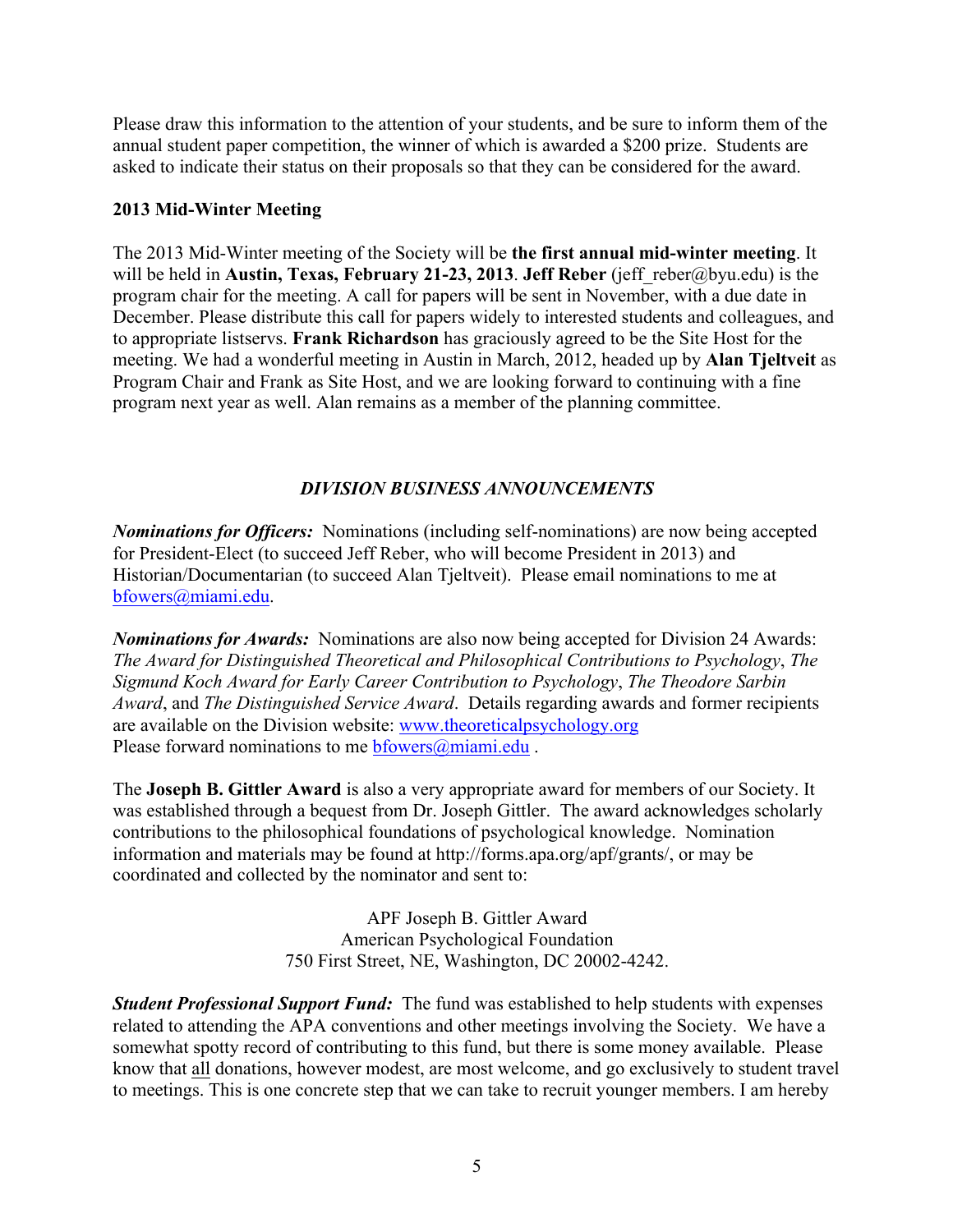Please draw this information to the attention of your students, and be sure to inform them of the annual student paper competition, the winner of which is awarded a \$200 prize. Students are asked to indicate their status on their proposals so that they can be considered for the award.

#### **2013 Mid-Winter Meeting**

The 2013 Mid-Winter meeting of the Society will be **the first annual mid-winter meeting**. It will be held in **Austin, Texas, February 21-23, 2013**. **Jeff Reber** (jeff\_reber@byu.edu) is the program chair for the meeting. A call for papers will be sent in November, with a due date in December. Please distribute this call for papers widely to interested students and colleagues, and to appropriate listservs. **Frank Richardson** has graciously agreed to be the Site Host for the meeting. We had a wonderful meeting in Austin in March, 2012, headed up by **Alan Tjeltveit** as Program Chair and Frank as Site Host, and we are looking forward to continuing with a fine program next year as well. Alan remains as a member of the planning committee.

## *DIVISION BUSINESS ANNOUNCEMENTS*

*Nominations for Officers:* Nominations (including self-nominations) are now being accepted for President-Elect (to succeed Jeff Reber, who will become President in 2013) and Historian/Documentarian (to succeed Alan Tjeltveit). Please email nominations to me at bfowers@miami.edu.

*Nominations for Awards:* Nominations are also now being accepted for Division 24 Awards: *The Award for Distinguished Theoretical and Philosophical Contributions to Psychology*, *The Sigmund Koch Award for Early Career Contribution to Psychology*, *The Theodore Sarbin Award*, and *The Distinguished Service Award*. Details regarding awards and former recipients are available on the Division website: www.theoreticalpsychology.org Please forward nominations to me bfowers@miami.edu.

The **Joseph B. Gittler Award** is also a very appropriate award for members of our Society. It was established through a bequest from Dr. Joseph Gittler. The award acknowledges scholarly contributions to the philosophical foundations of psychological knowledge. Nomination information and materials may be found at http://forms.apa.org/apf/grants/, or may be coordinated and collected by the nominator and sent to:

> APF Joseph B. Gittler Award American Psychological Foundation 750 First Street, NE, Washington, DC 20002-4242.

*Student Professional Support Fund:* The fund was established to help students with expenses related to attending the APA conventions and other meetings involving the Society. We have a somewhat spotty record of contributing to this fund, but there is some money available. Please know that all donations, however modest, are most welcome, and go exclusively to student travel to meetings. This is one concrete step that we can take to recruit younger members. I am hereby